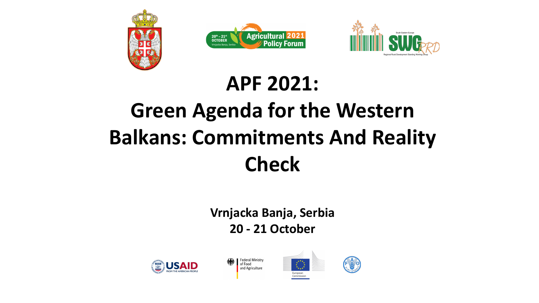





### **APF 2021: Green Agenda for the Western Balkans: Commitments And Reality Check**

**Vrnjacka Banja, Serbia 20 - 21 October**





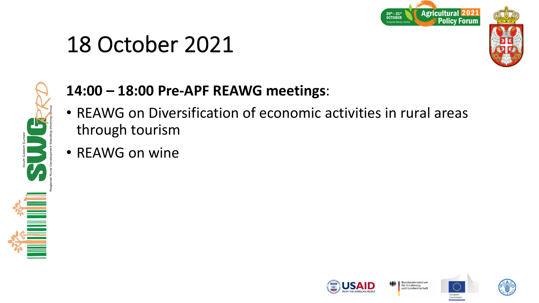



### **14:00 – 18:00 Pre-APF REAWG meetings**:

- REAWG on Diversification of economic activities in rural areas through tourism
- REAWG on wine







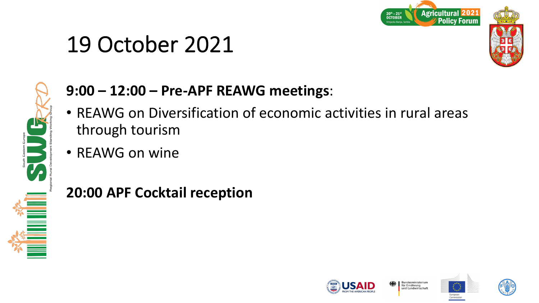



### **9:00 – 12:00 – Pre-APF REAWG meetings**:

- REAWG on Diversification of economic activities in rural areas through tourism
- REAWG on wine

**20:00 APF Cocktail reception**







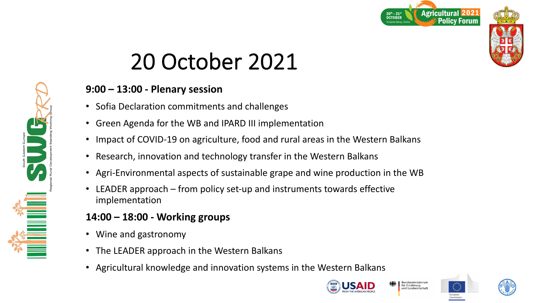

#### **9:00 – 13:00 - Plenary session**

- Sofia Declaration commitments and challenges
- Green Agenda for the WB and IPARD III implementation
- Impact of COVID-19 on agriculture, food and rural areas in the Western Balkans
- Research, innovation and technology transfer in the Western Balkans
- Agri-Environmental aspects of sustainable grape and wine production in the WB
- LEADER approach from policy set-up and instruments towards effective implementation

### **14:00 – 18:00 - Working groups**

- Wine and gastronomy
- The LEADER approach in the Western Balkans
- Agricultural knowledge and innovation systems in the Western Balkans









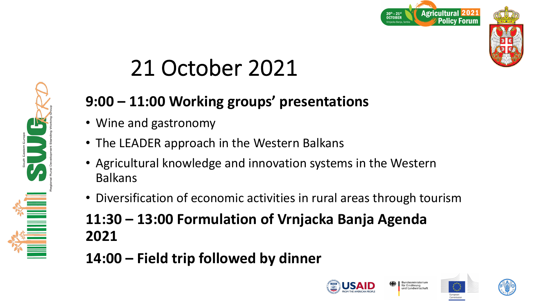



### **9:00 – 11:00 Working groups' presentations**

- Wine and gastronomy
- The LEADER approach in the Western Balkans
- Agricultural knowledge and innovation systems in the Western Balkans
- Diversification of economic activities in rural areas through tourism
- **11:30 – 13:00 Formulation of Vrnjacka Banja Agenda 2021**
- **14:00 – Field trip followed by dinner**









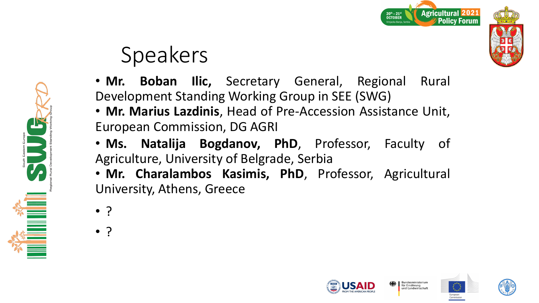

# Speakers

• **Mr. Boban Ilic,** Secretary General, Regional Rural Development Standing Working Group in SEE (SWG)

- **Mr. Marius Lazdinis**, Head of Pre-Accession Assistance Unit, European Commission, DG AGRI
- **Ms. Natalija Bogdanov, PhD**, Professor, Faculty of Agriculture, University of Belgrade, Serbia

• **Mr. Charalambos Kasimis, PhD**, Professor, Agricultural University, Athens, Greece

• ?

• ?







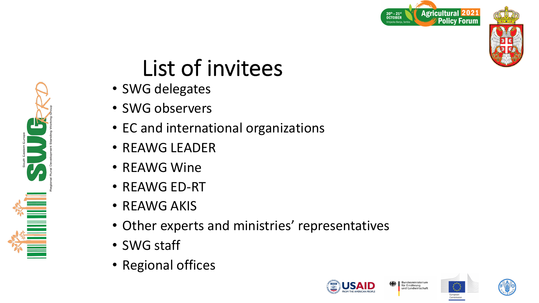



## List of invitees

- SWG delegates
- SWG observers
- EC and international organizations
- REAWG LEADER
- REAWG Wine
- REAWG ED-RT
- REAWG AKIS
- Other experts and ministries' representatives
- SWG staff

**ENSURER** 

• Regional offices







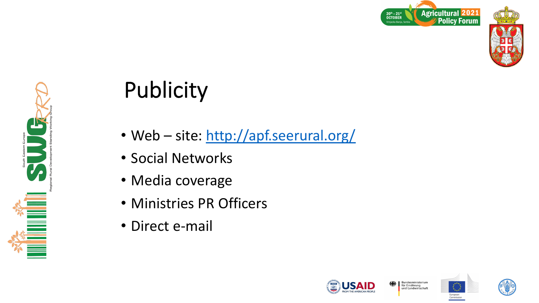

# Publicity

- Web site: http://apf.seerural.org
- Social Networks
- Media coverage
- Ministries PR Officers
- Direct e-mail

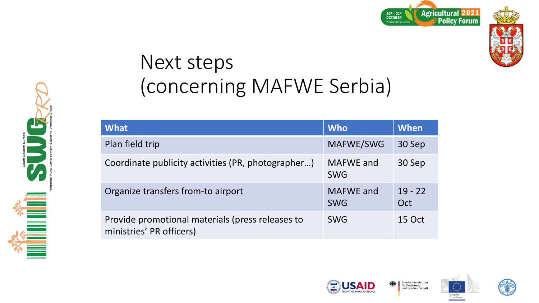





### Next steps (concerning MAFWE Serbia)

| <b>What</b>                                                                  | <b>Who</b>                     | When             |
|------------------------------------------------------------------------------|--------------------------------|------------------|
| Plan field trip                                                              | MAFWE/SWG                      | 30 Sep           |
| Coordinate publicity activities (PR, photographer)                           | <b>MAFWE</b> and<br><b>SWG</b> | 30 Sep           |
| Organize transfers from-to airport                                           | <b>MAFWE</b> and<br><b>SWG</b> | $19 - 22$<br>Oct |
| Provide promotional materials (press releases to<br>ministries' PR officers) | <b>SWG</b>                     | 15 Oct           |





Bundesministeriur<br>für Ernährung

und Landwirtschaft